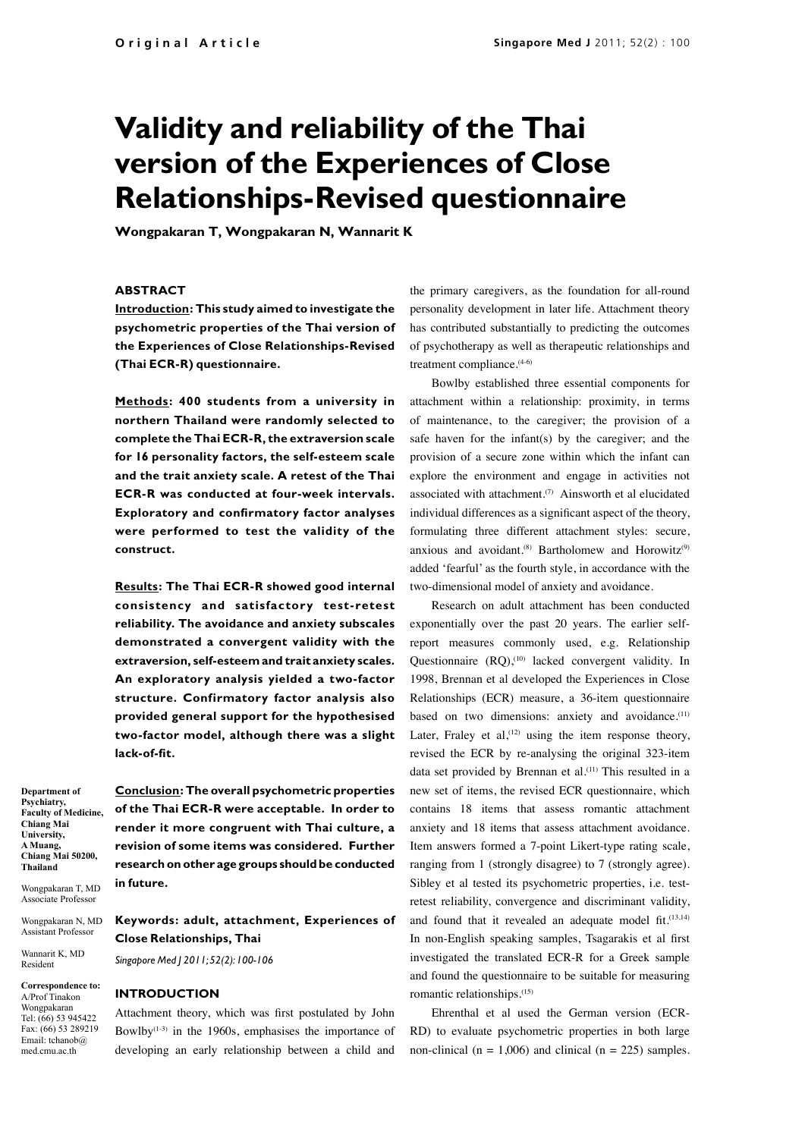# **Validity and reliability of the Thai version of the Experiences of Close Relationships-Revised questionnaire**

**Wongpakaran T, Wongpakaran N, Wannarit K**

## **ABSTRACT**

**Introduction: This study aimed to investigate the psychometric properties of the Thai version of the Experiences of Close Relationships-Revised (Thai ECR-R) questionnaire.**

**Methods: 400 students from a university in northern Thailand were randomly selected to complete the Thai ECR-R, the extraversion scale for 16 personality factors, the self-esteem scale and the trait anxiety scale. A retest of the Thai ECR-R was conducted at four-week intervals. Exploratory and confirmatory factor analyses were performed to test the validity of the construct.** 

**Results: The Thai ECR-R showed good internal consistency and satisfactory test-retest reliability. The avoidance and anxiety subscales demonstrated a convergent validity with the extraversion, self-esteem and trait anxiety scales. An exploratory analysis yielded a two-factor structure. Confirmatory factor analysis also provided general support for the hypothesised two-factor model, although there was a slight lack-of-fit.** 

**Department of Psychiatry, Faculty of Medicine, Chiang Mai University, A Muang, Chiang Mai 50200, Thailand** 

Wongpakaran T, MD Associate Professor

Wongpakaran N, MD Assistant Professor

Wannarit K, MD Resident

**Correspondence to:** A/Prof Tinakon Wongpakaran Tel: (66) 53 945422 Fax: (66) 53 289219 Email: tchanob@ med.cmu.ac.th

**Conclusion: The overall psychometric properties of the Thai ECR-R were acceptable. In order to render it more congruent with Thai culture, a revision of some items was considered. Further research on other age groups should be conducted in future.**

# **Keywords: adult, attachment, Experiences of Close Relationships, Thai**

*Singapore Med J 2011; 52(2): 100-106*

#### **INTRODUCTION**

Attachment theory, which was first postulated by John Bowlby $(1-3)$  in the 1960s, emphasises the importance of developing an early relationship between a child and

the primary caregivers, as the foundation for all-round personality development in later life. Attachment theory has contributed substantially to predicting the outcomes of psychotherapy as well as therapeutic relationships and treatment compliance.<sup>(4-6)</sup>

Bowlby established three essential components for attachment within a relationship: proximity, in terms of maintenance, to the caregiver; the provision of a safe haven for the infant(s) by the caregiver; and the provision of a secure zone within which the infant can explore the environment and engage in activities not associated with attachment.<sup>(7)</sup> Ainsworth et al elucidated individual differences as a significant aspect of the theory, formulating three different attachment styles: secure, anxious and avoidant.<sup>(8)</sup> Bartholomew and Horowitz<sup>(9)</sup> added 'fearful' as the fourth style, in accordance with the two-dimensional model of anxiety and avoidance.

Research on adult attachment has been conducted exponentially over the past 20 years. The earlier selfreport measures commonly used, e.g. Relationship Questionnaire (RQ),<sup>(10)</sup> lacked convergent validity. In 1998, Brennan et al developed the Experiences in Close Relationships (ECR) measure, a 36-item questionnaire based on two dimensions: anxiety and avoidance.<sup>(11)</sup> Later, Fraley et al,  $(12)$  using the item response theory, revised the ECR by re-analysing the original 323-item data set provided by Brennan et al.<sup>(11)</sup> This resulted in a new set of items, the revised ECR questionnaire, which contains 18 items that assess romantic attachment anxiety and 18 items that assess attachment avoidance. Item answers formed a 7-point Likert-type rating scale, ranging from 1 (strongly disagree) to 7 (strongly agree). Sibley et al tested its psychometric properties, i.e. testretest reliability, convergence and discriminant validity, and found that it revealed an adequate model fit.<sup>(13,14)</sup> In non-English speaking samples, Tsagarakis et al first investigated the translated ECR-R for a Greek sample and found the questionnaire to be suitable for measuring romantic relationships.(15)

Ehrenthal et al used the German version (ECR-RD) to evaluate psychometric properties in both large non-clinical ( $n = 1,006$ ) and clinical ( $n = 225$ ) samples.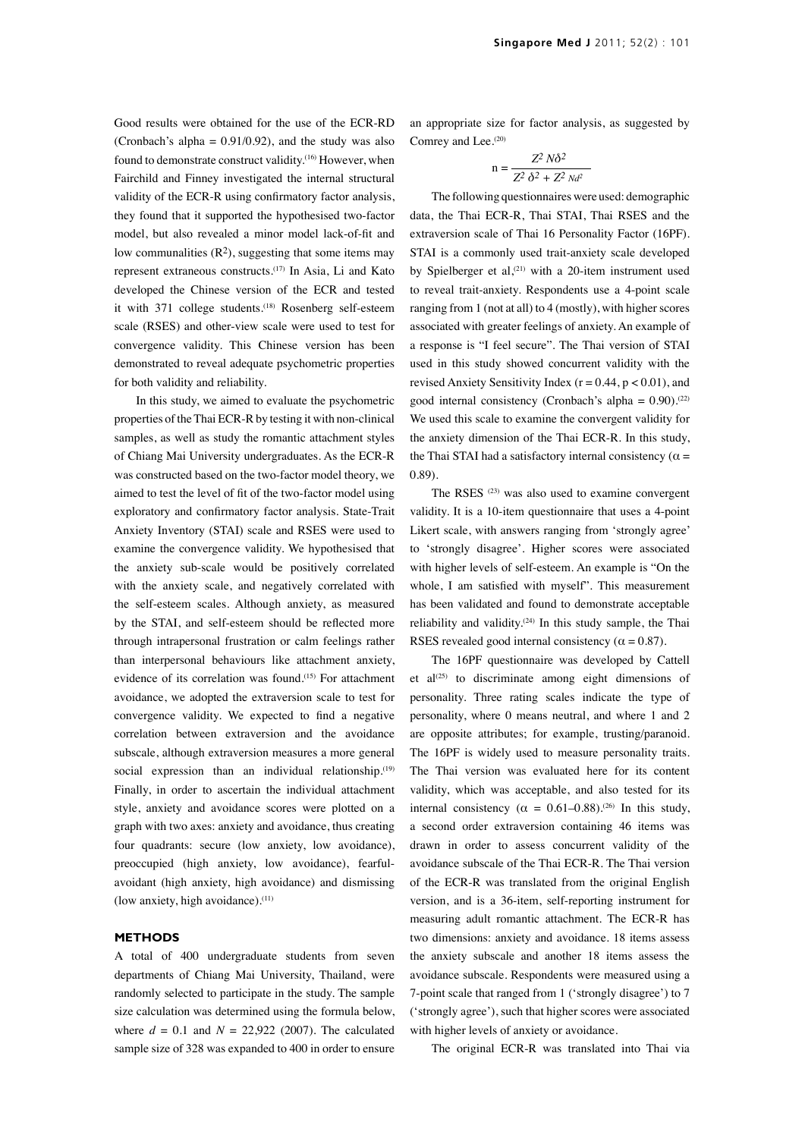Good results were obtained for the use of the ECR-RD (Cronbach's alpha =  $0.91/0.92$ ), and the study was also found to demonstrate construct validity.<sup>(16)</sup> However, when Fairchild and Finney investigated the internal structural validity of the ECR-R using confirmatory factor analysis, they found that it supported the hypothesised two-factor model, but also revealed a minor model lack-of-fit and low communalities  $(R<sup>2</sup>)$ , suggesting that some items may represent extraneous constructs.(17) In Asia, Li and Kato developed the Chinese version of the ECR and tested it with 371 college students.<sup>(18)</sup> Rosenberg self-esteem scale (RSES) and other-view scale were used to test for convergence validity. This Chinese version has been demonstrated to reveal adequate psychometric properties for both validity and reliability.

In this study, we aimed to evaluate the psychometric properties of the Thai ECR-R by testing it with non-clinical samples, as well as study the romantic attachment styles of Chiang Mai University undergraduates. As the ECR-R was constructed based on the two-factor model theory, we aimed to test the level of fit of the two-factor model using exploratory and confirmatory factor analysis. State-Trait Anxiety Inventory (STAI) scale and RSES were used to examine the convergence validity. We hypothesised that the anxiety sub-scale would be positively correlated with the anxiety scale, and negatively correlated with the self-esteem scales. Although anxiety, as measured by the STAI, and self-esteem should be reflected more through intrapersonal frustration or calm feelings rather than interpersonal behaviours like attachment anxiety, evidence of its correlation was found.(15) For attachment avoidance, we adopted the extraversion scale to test for convergence validity. We expected to find a negative correlation between extraversion and the avoidance subscale, although extraversion measures a more general social expression than an individual relationship.<sup>(19)</sup> Finally, in order to ascertain the individual attachment style, anxiety and avoidance scores were plotted on a graph with two axes: anxiety and avoidance, thus creating four quadrants: secure (low anxiety, low avoidance), preoccupied (high anxiety, low avoidance), fearfulavoidant (high anxiety, high avoidance) and dismissing (low anxiety, high avoidance).<sup>(11)</sup>

#### **METHODS**

A total of 400 undergraduate students from seven departments of Chiang Mai University, Thailand, were randomly selected to participate in the study. The sample size calculation was determined using the formula below, where  $d = 0.1$  and  $N = 22,922$  (2007). The calculated sample size of 328 was expanded to 400 in order to ensure

an appropriate size for factor analysis, as suggested by Comrey and Lee.<sup>(20)</sup>

$$
n = \frac{Z^2 N\delta^2}{Z^2 \delta^2 + Z^2 N d^2}
$$

The following questionnaires were used: demographic data, the Thai ECR-R, Thai STAI, Thai RSES and the extraversion scale of Thai 16 Personality Factor (16PF). STAI is a commonly used trait-anxiety scale developed by Spielberger et al,<sup>(21)</sup> with a 20-item instrument used to reveal trait-anxiety. Respondents use a 4-point scale ranging from 1 (not at all) to 4 (mostly), with higher scores associated with greater feelings of anxiety. An example of a response is "I feel secure". The Thai version of STAI used in this study showed concurrent validity with the revised Anxiety Sensitivity Index ( $r = 0.44$ ,  $p < 0.01$ ), and good internal consistency (Cronbach's alpha =  $0.90$ ).<sup>(22)</sup> We used this scale to examine the convergent validity for the anxiety dimension of the Thai ECR-R. In this study, the Thai STAI had a satisfactory internal consistency ( $\alpha$  = 0.89).

The RSES (23) was also used to examine convergent validity. It is a 10-item questionnaire that uses a 4-point Likert scale, with answers ranging from 'strongly agree' to 'strongly disagree'. Higher scores were associated with higher levels of self-esteem. An example is "On the whole, I am satisfied with myself". This measurement has been validated and found to demonstrate acceptable reliability and validity.(24) In this study sample, the Thai RSES revealed good internal consistency ( $\alpha = 0.87$ ).

The 16PF questionnaire was developed by Cattell et al<sup> $(25)$ </sup> to discriminate among eight dimensions of personality. Three rating scales indicate the type of personality, where 0 means neutral, and where 1 and 2 are opposite attributes; for example, trusting/paranoid. The 16PF is widely used to measure personality traits. The Thai version was evaluated here for its content validity, which was acceptable, and also tested for its internal consistency ( $\alpha = 0.61 - 0.88$ ).<sup>(26)</sup> In this study, a second order extraversion containing 46 items was drawn in order to assess concurrent validity of the avoidance subscale of the Thai ECR-R. The Thai version of the ECR-R was translated from the original English version, and is a 36-item, self-reporting instrument for measuring adult romantic attachment. The ECR-R has two dimensions: anxiety and avoidance. 18 items assess the anxiety subscale and another 18 items assess the avoidance subscale. Respondents were measured using a 7-point scale that ranged from 1 ('strongly disagree') to 7 ('strongly agree'), such that higher scores were associated with higher levels of anxiety or avoidance.

The original ECR-R was translated into Thai via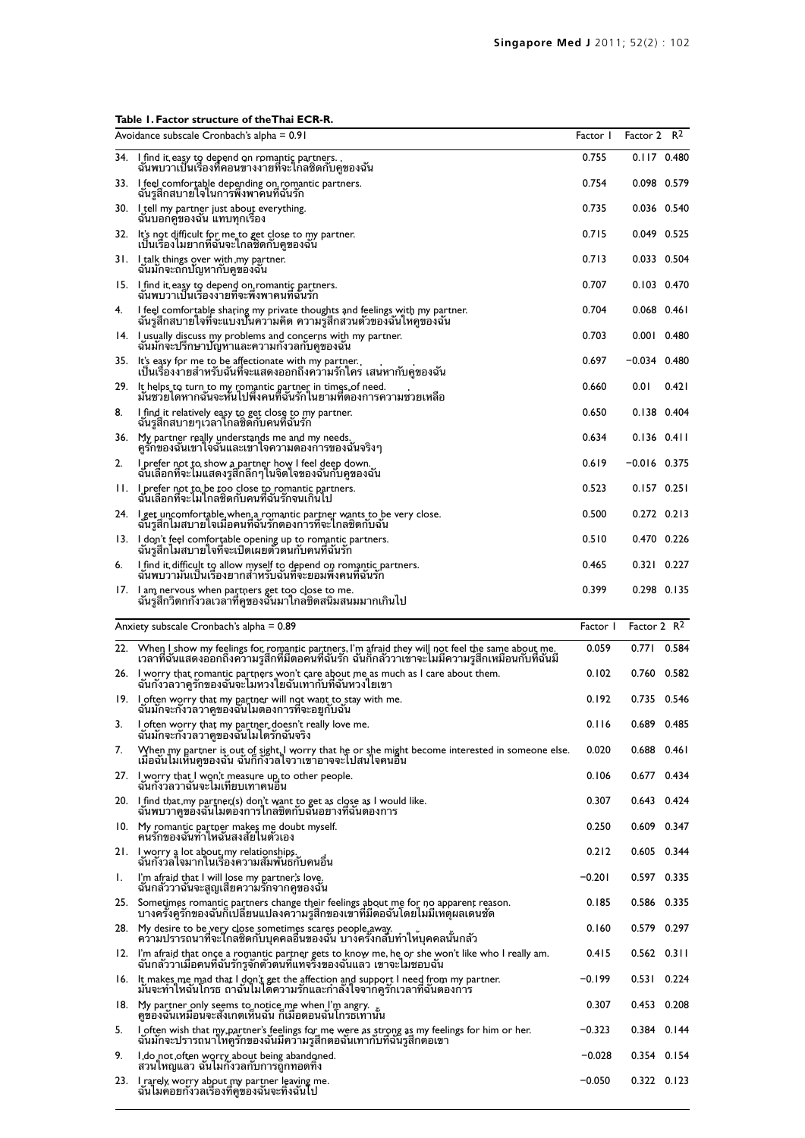# **Table 1. Factor structure of theThai ECR-R.**

|     | Avoidance subscale Cronbach's alpha = 0.91                                                                                                                                                | Factor I | Factor 2 R <sup>2</sup> |       |
|-----|-------------------------------------------------------------------------------------------------------------------------------------------------------------------------------------------|----------|-------------------------|-------|
|     | 34. I find it easy to depend on romantic partners.<br>ฉันพบวาเป็นเรื่องที่คอนขางงายที่จะไกลซิดกบคูของฉน                                                                                   | 0.755    | $0.117$ 0.480           |       |
|     | 33. Lifeel comfortable depending on romantic partners.<br>ฉันรูสึกสบายใจในการพึ่งพาคนที่ฉันรัก                                                                                            | 0.754    | 0.098 0.579             |       |
|     | 30. Ltell my partner just about everything.<br>ฉนบอกคูของฉน แทบทุกเรอง                                                                                                                    | 0.735    | 0.036 0.540             |       |
|     | 32. It's not difficult for me to get close to my partner.<br>้เป็นเรื่องไมยากที่ฉันจะไกลซิดกับคูของฉัน                                                                                    | 0.715    | 0.049 0.525             |       |
|     | 31. I talk things over with my partner.<br>ฉันมักจะถกปัญหากับคูของฉัน                                                                                                                     | 0.713    | 0.033 0.504             |       |
|     | 15. I find it easy to depend on romantic partners.<br>ฉันพบวาเป็นเรื่องงายที่จะพึ่งพาคนที่ฉันรัก                                                                                          | 0.707    | 0.103 0.470             |       |
| 4.  | I feel comfortable sharing my private thoughts and feelings with my partner.<br>ฉนรูสกสบายไจทจะแบงปนความคด ความรูสกสวนตวของฉนไหคูของฉน                                                    | 0.704    | $0.068$ 0.461           |       |
|     | 14. Lusually discuss my problems and concerns with my partner.<br>ฉันมักจะปริกษาปัญหาและความกังวลกับคูของฉัน                                                                              | 0.703    | $0.001$ $0.480$         |       |
| 35. | It's easy for me to be affectionate with my partner.<br>เป็นเรื่องงายสำหรับฉันที่จะแสดงออกถึงความรักไคร เสนหากับคู่ของฉัน                                                                 | 0.697    | $-0.034$ 0.480          |       |
| 29. | It helps to turn to my romantic partner in times of need.<br>มันชวยไดหากฉันจะหันไปพึ่งคนที่ฉันรักในยามที่ตองการความช่วยเหลือ                                                              | 0.660    | 0.01                    | 0.421 |
| 8.  | I find it relatively easy to get close to my partner.<br>ฉันรู้สึกสบายๆเวลาใกลชิดกับคนที่ฉันรัก                                                                                           | 0.650    | $0.138$ 0.404           |       |
|     | 36. My partner really understands me and my needs.<br>ครักของฉันเขาใจฉันและเขาใจความตองการของฉันจริงๆ                                                                                     | 0.634    | $0.136$ $0.411$         |       |
| 2.  | I prefer not to show a partner how I feel deep down.<br>ฉันเลือกที่จะไมแสดงรูสึกลึกๆในจิตใจของฉันกับคูของฉัน                                                                              | 0.619    | $-0.016$ 0.375          |       |
|     | II. I prefer not to be too close to romantic partners.<br>ฉันเลือกที่จะไม่ไกลซิดกับคนที่ฉันรักจนเกินไป                                                                                    | 0.523    | $0.157$ $0.251$         |       |
|     | 24.   I get uncomfortable when a romantic partner wants to be very close.<br>ฉันรูสึกไมสบายใจเมื่อคนที่ฉันรักต่องการที่จะใกล่ซิดกับฉัน                                                    | 0.500    | $0.272$ 0.213           |       |
|     | 13. I don't teel comtortable opening up to romantic partners.<br>ฉันรูสึกไมสบายใจที่จะเปิดเผยตัวตนกับคนที่ฉันรัก                                                                          | 0.510    | 0.470 0.226             |       |
| 6.  | I find it difficult to allow myself to depend on romantic partners.<br>ฉันพบวามันเป็นเรื่องยากสำหรับฉันที่จะยอมพิ่งคนที่ฉันรัก                                                            | 0.465    | 0.321 0.227             |       |
|     | $17.$ I am nervous when partners get too close to me.<br>ฉันรูสึกวิตกกังวลเวลาที่คูของฉันมาไกลซิดสนิมสนมมากเกินไป                                                                         | 0.399    | $0.298$ $0.135$         |       |
|     |                                                                                                                                                                                           |          |                         |       |
|     | Anxiety subscale Cronbach's alpha = 0.89                                                                                                                                                  | Factor I | Factor 2 R <sup>2</sup> |       |
|     | 22. When I show my feelings for romantic partners, I'm afraid they will not feel the same about me.                                                                                       | 0.059    | 0.771                   | 0.584 |
|     | ้เวลาที่ฉันแสดงออกถึงความรูสึกที่มีตอคนที่ฉันรัก ฉันกึกลั่ววาเขาจะไม่มีความรูสึกเหมือนกับที่ฉันมี<br>26. Liworry that romantic partners won't care about me as much as I care about them. | 0.102    | 0.760 0.582             |       |
|     | ฉันกังวลวาคูรักของฉันจะไมหวงใยฉันเทากับที่ฉันหวงใยเขา<br>19. Loften worry that my partner will not want to stay with me.<br>ฉนมกจะกงวลวาคูของฉนไมตองการทจะอยูกบฉน                         | 0.192    | 0.735 0.546             |       |
| 3.  | I often worry that my partner doesn't really love me.<br>ฉันมักจะกังวลวาคูของฉันไมไดรักฉันจริง                                                                                            | 0.116    | 0.689 0.485             |       |
| 7.  | When my partner is out of sight. I worry that he or she might become interested in someone else.                                                                                          | 0.020    | $0.688$ 0.461           |       |
|     | เมื่อฉันไม่เห็นคูของฉัน ฉันก็กังัวลใจวาเขาอาจจะไปสนใจคนอื่น<br>27. I worry that I won't measure up to other people.<br>ฉนกงวลวาฉันจะไมเทียบเทาคนอื่น                                      | 0.106    | 0.677 0.434             |       |
|     | 20. I find that my partner (s) don't want to get as close as I would like.                                                                                                                | 0.307    | 0.643 0.424             |       |
|     | ฉันพบวาคูของฉันไมตองการใกลซิดกับฉันอยางที่ฉันตองการ<br>10. My romantic partner makes me doubt myself.<br>คนรักของฉันทำไหฉันสงสัยไนตัวเอง                                                  | 0.250    | 0.609 0.347             |       |
|     | 21. l worry a lot about my relationships.<br>ฉันกงวลไจมากไนเรื่องความสัมพันธกับคนอื่น                                                                                                     | 0.212    | 0.605 0.344             |       |
| ı.  | I'm afraid that I will lose my partner's love.                                                                                                                                            | $-0.201$ | 0.597 0.335             |       |
| 25. | ฉันกลัววาฉันจะสูญเสียความรักจากคูของฉัน<br>Sometimes romantic partners change their feelings about me for no apparent reason.                                                             | 0.185    | 0.586 0.335             |       |
|     | ี บางครงคูรกของฉนกเปลยนแปลงความรูสกของเขาทมตอฉนไดยไมมเหตุผลเดนชด<br>28. My desire to be very close sometimes scares people away.                                                          | 0.160    | 0.579 0.297             |       |
|     | ความปรารถนาที่จะไกลชิดกับบุคคลอื่นของฉัน บางครั้งกลับทำใหบุคคลนั้นกลัว<br>.l2. I'm afraid that once a romantic partner gets to know me, he or she won't like who I really am              | 0.415    | $0.562$ $0.311$         |       |
|     | ฉันกลัววาเมื่อคนที่ฉันรักรูจักตัวตนที่แทจริงของฉันแลว เขาจะไมชอบฉัน<br>$16.$ It makes me mad that I don't get the affection and support I need from my partner.                           | -0.199   | 0.531 0.224             |       |
|     | ้มันจะทำใหฉันไกรธ ถาฉันไมโดความรักและกำลังใจจากคูรักเวลาที่ฉันตองการ                                                                                                                      | 0.307    | 0.453 0.208             |       |
| 5.  | I often wish that my partner's feelings for me were as strong as my feelings for him or her.                                                                                              | $-0.323$ | 0.384 0.144             |       |
| 9.  | ฉันมักจะปรารถนาไหคูรักของฉันมีความรูสึกตอฉันเทากับที่ฉันรูสึกตอเขา<br>I do not often worry about being abandoned.<br>สวนไหญแลว ฉันไมกังวลกับการถูกทอดทิง                                  | $-0.028$ | 0.354 0.154             |       |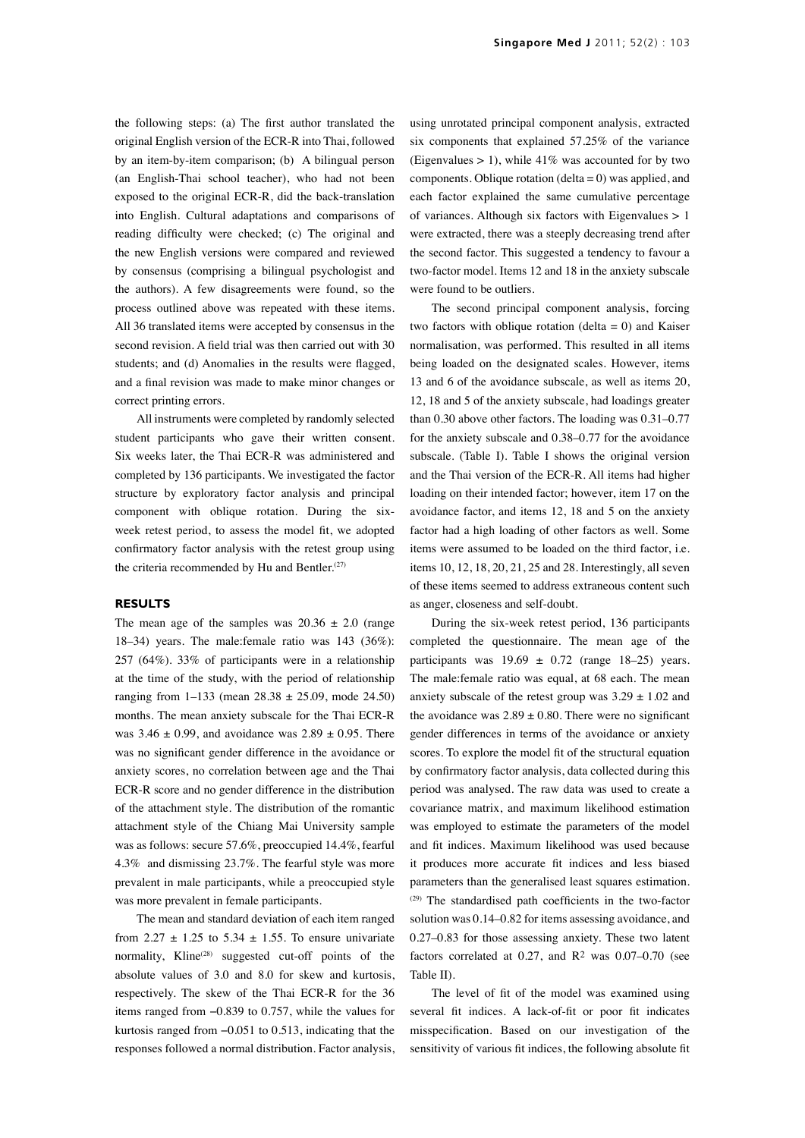the following steps: (a) The first author translated the original English version of the ECR-R into Thai, followed by an item-by-item comparison; (b) A bilingual person (an English-Thai school teacher), who had not been exposed to the original ECR-R, did the back-translation into English. Cultural adaptations and comparisons of reading difficulty were checked; (c) The original and the new English versions were compared and reviewed by consensus (comprising a bilingual psychologist and the authors). A few disagreements were found, so the process outlined above was repeated with these items. All 36 translated items were accepted by consensus in the second revision. A field trial was then carried out with 30 students; and (d) Anomalies in the results were flagged, and a final revision was made to make minor changes or correct printing errors.

All instruments were completed by randomly selected student participants who gave their written consent. Six weeks later, the Thai ECR-R was administered and completed by 136 participants. We investigated the factor structure by exploratory factor analysis and principal component with oblique rotation. During the sixweek retest period, to assess the model fit, we adopted confirmatory factor analysis with the retest group using the criteria recommended by Hu and Bentler.<sup>(27)</sup>

#### **RESULTS**

The mean age of the samples was  $20.36 \pm 2.0$  (range 18–34) years. The male:female ratio was 143 (36%): 257 (64%). 33% of participants were in a relationship at the time of the study, with the period of relationship ranging from  $1-133$  (mean  $28.38 \pm 25.09$ , mode  $24.50$ ) months. The mean anxiety subscale for the Thai ECR-R was  $3.46 \pm 0.99$ , and avoidance was  $2.89 \pm 0.95$ . There was no significant gender difference in the avoidance or anxiety scores, no correlation between age and the Thai ECR-R score and no gender difference in the distribution of the attachment style. The distribution of the romantic attachment style of the Chiang Mai University sample was as follows: secure 57.6%, preoccupied 14.4%, fearful 4.3% and dismissing 23.7%. The fearful style was more prevalent in male participants, while a preoccupied style was more prevalent in female participants.

The mean and standard deviation of each item ranged from 2.27  $\pm$  1.25 to 5.34  $\pm$  1.55. To ensure univariate normality, Kline<sup>(28)</sup> suggested cut-off points of the absolute values of 3.0 and 8.0 for skew and kurtosis, respectively. The skew of the Thai ECR-R for the 36 items ranged from −0.839 to 0.757, while the values for kurtosis ranged from −0.051 to 0.513, indicating that the responses followed a normal distribution. Factor analysis,

using unrotated principal component analysis, extracted six components that explained 57.25% of the variance (Eigenvalues  $> 1$ ), while 41% was accounted for by two components. Oblique rotation (delta  $= 0$ ) was applied, and each factor explained the same cumulative percentage of variances. Although six factors with Eigenvalues > 1 were extracted, there was a steeply decreasing trend after the second factor. This suggested a tendency to favour a two-factor model. Items 12 and 18 in the anxiety subscale were found to be outliers.

The second principal component analysis, forcing two factors with oblique rotation (delta  $= 0$ ) and Kaiser normalisation, was performed. This resulted in all items being loaded on the designated scales. However, items 13 and 6 of the avoidance subscale, as well as items 20, 12, 18 and 5 of the anxiety subscale, had loadings greater than 0.30 above other factors. The loading was 0.31–0.77 for the anxiety subscale and 0.38–0.77 for the avoidance subscale. (Table I). Table I shows the original version and the Thai version of the ECR-R. All items had higher loading on their intended factor; however, item 17 on the avoidance factor, and items 12, 18 and 5 on the anxiety factor had a high loading of other factors as well. Some items were assumed to be loaded on the third factor, i.e. items 10, 12, 18, 20, 21, 25 and 28. Interestingly, all seven of these items seemed to address extraneous content such as anger, closeness and self-doubt.

During the six-week retest period, 136 participants completed the questionnaire. The mean age of the participants was  $19.69 \pm 0.72$  (range 18–25) years. The male:female ratio was equal, at 68 each. The mean anxiety subscale of the retest group was  $3.29 \pm 1.02$  and the avoidance was  $2.89 \pm 0.80$ . There were no significant gender differences in terms of the avoidance or anxiety scores. To explore the model fit of the structural equation by confirmatory factor analysis, data collected during this period was analysed. The raw data was used to create a covariance matrix, and maximum likelihood estimation was employed to estimate the parameters of the model and fit indices. Maximum likelihood was used because it produces more accurate fit indices and less biased parameters than the generalised least squares estimation. (29) The standardised path coefficients in the two-factor solution was 0.14–0.82 for items assessing avoidance, and 0.27–0.83 for those assessing anxiety. These two latent factors correlated at  $0.27$ , and  $R<sup>2</sup>$  was  $0.07-0.70$  (see Table II).

The level of fit of the model was examined using several fit indices. A lack-of-fit or poor fit indicates misspecification. Based on our investigation of the sensitivity of various fit indices, the following absolute fit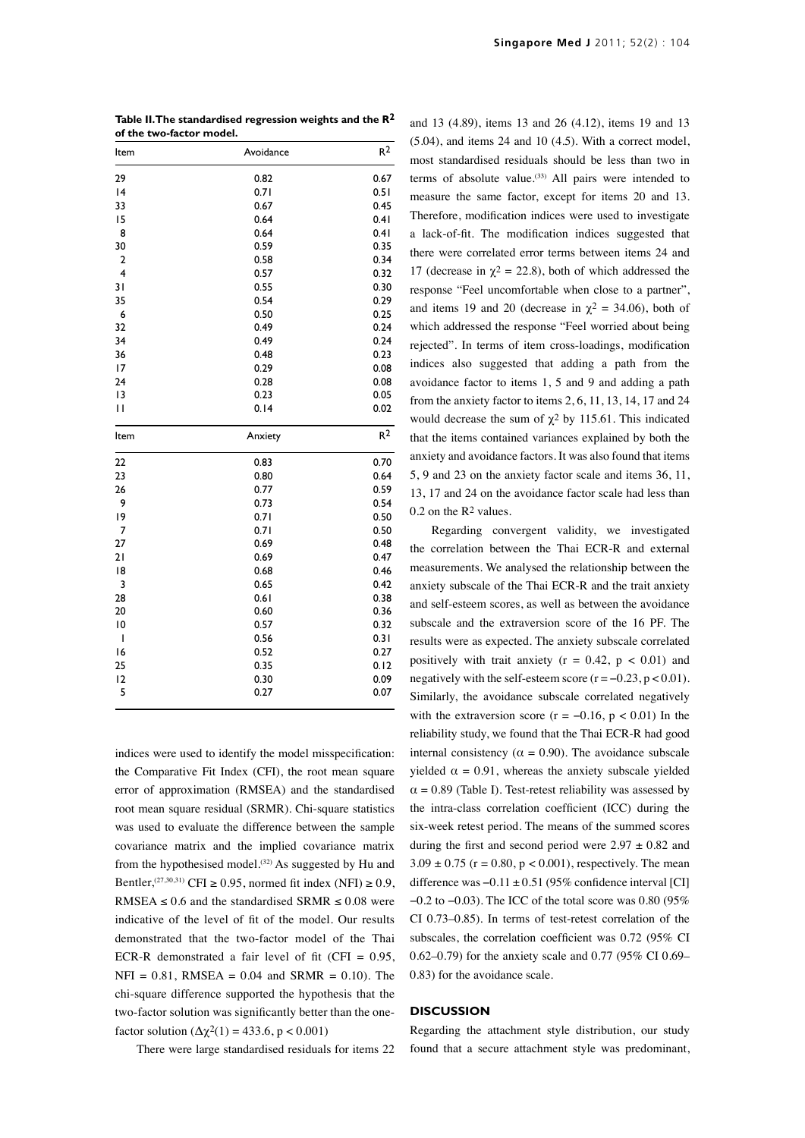| Table II. The standardised regression weights and the $\mathsf{R}^2$ |  |
|----------------------------------------------------------------------|--|
| of the two-factor model.                                             |  |

| Item                    | Avoidance    | R <sup>2</sup> |
|-------------------------|--------------|----------------|
| 29                      | 0.82         | 0.67           |
| 4                       | 0.71         | 0.51           |
| 33                      | 0.67         | 0.45           |
| 15                      | 0.64         | 0.41           |
| 8                       | 0.64         | 0.41           |
| 30                      | 0.59         | 0.35           |
| $\overline{2}$          | 0.58         | 0.34           |
| $\overline{\mathbf{4}}$ | 0.57         | 0.32           |
| 31                      | 0.55         | 0.30           |
| 35                      | 0.54         | 0.29           |
| 6                       | 0.50         | 0.25           |
| 32                      | 0.49         | 0.24           |
| 34                      | 0.49         | 0.24           |
| 36                      | 0.48         | 0.23           |
| 17                      | 0.29         | 0.08           |
| 24                      | 0.28         | 0.08           |
| 13                      | 0.23         | 0.05           |
| $\mathbf{H}$            | 0.14         | 0.02           |
| Item                    | Anxiety      | R <sup>2</sup> |
|                         |              |                |
| 22                      | 0.83         | 0.70           |
| 23                      | 0.80         | 0.64           |
| 26                      | 0.77         | 0.59           |
| 9                       | 0.73         | 0.54           |
| 19                      | 0.71         | 0.50           |
| 7                       | 0.71         | 0.50           |
| 27                      | 0.69         | 0.48           |
| 21                      | 0.69         | 0.47           |
| 18                      | 0.68         | 0.46           |
| 3                       | 0.65         | 0.42           |
| 28                      | 0.61         | 0.38           |
| 20                      | 0.60         | 0.36           |
| $\overline{10}$         | 0.57         | 0.32           |
| I                       | 0.56         | 0.31           |
| 16                      | 0.52         | 0.27           |
| 25                      | 0.35         | 0.12           |
| 12<br>5                 | 0.30<br>0.27 | 0.09<br>0.07   |

indices were used to identify the model misspecification: the Comparative Fit Index (CFI), the root mean square error of approximation (RMSEA) and the standardised root mean square residual (SRMR). Chi-square statistics was used to evaluate the difference between the sample covariance matrix and the implied covariance matrix from the hypothesised model.<sup>(32)</sup> As suggested by Hu and Bentler,<sup>(27,30,31)</sup> CFI ≥ 0.95, normed fit index (NFI) ≥ 0.9, RMSEA  $\leq$  0.6 and the standardised SRMR  $\leq$  0.08 were indicative of the level of fit of the model. Our results demonstrated that the two-factor model of the Thai ECR-R demonstrated a fair level of fit (CFI =  $0.95$ ,  $NFI = 0.81$ , RMSEA = 0.04 and SRMR = 0.10). The chi-square difference supported the hypothesis that the two-factor solution was significantly better than the onefactor solution  $(\Delta \chi^2(1) = 433.6, p < 0.001)$ 

There were large standardised residuals for items 22

and 13 (4.89), items 13 and 26 (4.12), items 19 and 13 (5.04), and items 24 and 10 (4.5). With a correct model, most standardised residuals should be less than two in terms of absolute value. $(33)$  All pairs were intended to measure the same factor, except for items 20 and 13. Therefore, modification indices were used to investigate a lack-of-fit. The modification indices suggested that there were correlated error terms between items 24 and 17 (decrease in  $\chi^2 = 22.8$ ), both of which addressed the response "Feel uncomfortable when close to a partner", and items 19 and 20 (decrease in  $\chi^2 = 34.06$ ), both of which addressed the response "Feel worried about being rejected". In terms of item cross-loadings, modification indices also suggested that adding a path from the avoidance factor to items 1, 5 and 9 and adding a path from the anxiety factor to items 2, 6, 11, 13, 14, 17 and 24 would decrease the sum of  $\chi^2$  by 115.61. This indicated that the items contained variances explained by both the anxiety and avoidance factors. It was also found that items 5, 9 and 23 on the anxiety factor scale and items 36, 11, 13, 17 and 24 on the avoidance factor scale had less than 0.2 on the R2 values.

Regarding convergent validity, we investigated the correlation between the Thai ECR-R and external measurements. We analysed the relationship between the anxiety subscale of the Thai ECR-R and the trait anxiety and self-esteem scores, as well as between the avoidance subscale and the extraversion score of the 16 PF. The results were as expected. The anxiety subscale correlated positively with trait anxiety  $(r = 0.42, p < 0.01)$  and negatively with the self-esteem score  $(r = -0.23, p < 0.01)$ . Similarly, the avoidance subscale correlated negatively with the extraversion score ( $r = -0.16$ ,  $p < 0.01$ ) In the reliability study, we found that the Thai ECR-R had good internal consistency ( $\alpha = 0.90$ ). The avoidance subscale yielded  $\alpha = 0.91$ , whereas the anxiety subscale yielded  $\alpha = 0.89$  (Table I). Test-retest reliability was assessed by the intra-class correlation coefficient (ICC) during the six-week retest period. The means of the summed scores during the first and second period were  $2.97 \pm 0.82$  and  $3.09 \pm 0.75$  (r = 0.80, p < 0.001), respectively. The mean difference was  $-0.11 \pm 0.51$  (95% confidence interval [CI] −0.2 to −0.03). The ICC of the total score was 0.80 (95% CI 0.73–0.85). In terms of test-retest correlation of the subscales, the correlation coefficient was 0.72 (95% CI 0.62–0.79) for the anxiety scale and 0.77 (95% CI 0.69– 0.83) for the avoidance scale.

## **DISCUSSION**

Regarding the attachment style distribution, our study found that a secure attachment style was predominant,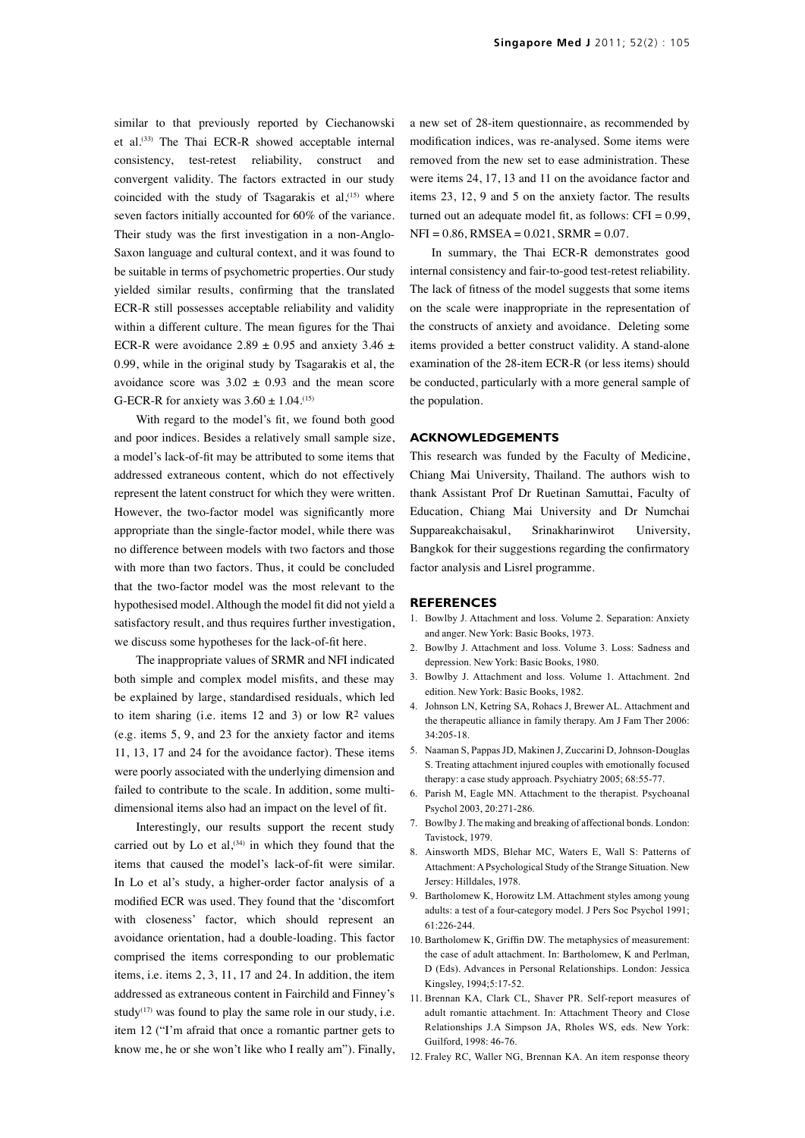similar to that previously reported by Ciechanowski et al.(33) The Thai ECR-R showed acceptable internal consistency, test-retest reliability, construct and convergent validity. The factors extracted in our study coincided with the study of Tsagarakis et al, $(15)$  where seven factors initially accounted for 60% of the variance. Their study was the first investigation in a non-Anglo-Saxon language and cultural context, and it was found to be suitable in terms of psychometric properties. Our study yielded similar results, confirming that the translated ECR-R still possesses acceptable reliability and validity within a different culture. The mean figures for the Thai ECR-R were avoidance 2.89  $\pm$  0.95 and anxiety 3.46  $\pm$ 0.99, while in the original study by Tsagarakis et al, the avoidance score was  $3.02 \pm 0.93$  and the mean score G-ECR-R for anxiety was  $3.60 \pm 1.04$ .<sup>(15)</sup>

With regard to the model's fit, we found both good and poor indices. Besides a relatively small sample size, a model's lack-of-fit may be attributed to some items that addressed extraneous content, which do not effectively represent the latent construct for which they were written. However, the two-factor model was significantly more appropriate than the single-factor model, while there was no difference between models with two factors and those with more than two factors. Thus, it could be concluded that the two-factor model was the most relevant to the hypothesised model. Although the model fit did not yield a satisfactory result, and thus requires further investigation, we discuss some hypotheses for the lack-of-fit here.

The inappropriate values of SRMR and NFI indicated both simple and complex model misfits, and these may be explained by large, standardised residuals, which led to item sharing (i.e. items 12 and 3) or low R2 values (e.g. items 5, 9, and 23 for the anxiety factor and items 11, 13, 17 and 24 for the avoidance factor). These items were poorly associated with the underlying dimension and failed to contribute to the scale. In addition, some multidimensional items also had an impact on the level of fit.

Interestingly, our results support the recent study carried out by Lo et al,  $(34)$  in which they found that the items that caused the model's lack-of-fit were similar. In Lo et al's study, a higher-order factor analysis of a modified ECR was used. They found that the 'discomfort with closeness' factor, which should represent an avoidance orientation, had a double-loading. This factor comprised the items corresponding to our problematic items, i.e. items 2, 3, 11, 17 and 24. In addition, the item addressed as extraneous content in Fairchild and Finney's study<sup> $(17)$ </sup> was found to play the same role in our study, i.e. item 12 ("I'm afraid that once a romantic partner gets to know me, he or she won't like who I really am"). Finally, a new set of 28-item questionnaire, as recommended by modification indices, was re-analysed. Some items were removed from the new set to ease administration. These were items 24, 17, 13 and 11 on the avoidance factor and items 23, 12, 9 and 5 on the anxiety factor. The results turned out an adequate model fit, as follows:  $CFI = 0.99$ ,  $NFI = 0.86$ , RMSEA =  $0.021$ , SRMR =  $0.07$ .

In summary, the Thai ECR-R demonstrates good internal consistency and fair-to-good test-retest reliability. The lack of fitness of the model suggests that some items on the scale were inappropriate in the representation of the constructs of anxiety and avoidance. Deleting some items provided a better construct validity. A stand-alone examination of the 28-item ECR-R (or less items) should be conducted, particularly with a more general sample of the population.

### **ACKNOWLEDGEMENTS**

This research was funded by the Faculty of Medicine, Chiang Mai University, Thailand. The authors wish to thank Assistant Prof Dr Ruetinan Samuttai, Faculty of Education, Chiang Mai University and Dr Numchai Suppareakchaisakul, Srinakharinwirot University, Bangkok for their suggestions regarding the confirmatory factor analysis and Lisrel programme.

#### **REFERENCES**

- 1. Bowlby J. Attachment and loss. Volume 2. Separation: Anxiety and anger. New York: Basic Books, 1973.
- 2. Bowlby J. Attachment and loss. Volume 3. Loss: Sadness and depression. New York: Basic Books, 1980.
- 3. Bowlby J. Attachment and loss. Volume 1. Attachment. 2nd edition. New York: Basic Books, 1982.
- 4. Johnson LN, Ketring SA, Rohacs J, Brewer AL. Attachment and the therapeutic alliance in family therapy. Am J Fam Ther 2006: 34:205-18.
- 5. Naaman S, Pappas JD, Makinen J, Zuccarini D, Johnson-Douglas S. Treating attachment injured couples with emotionally focused therapy: a case study approach. Psychiatry 2005; 68:55-77.
- 6. Parish M, Eagle MN. Attachment to the therapist. Psychoanal Psychol 2003, 20:271-286.
- 7. Bowlby J. The making and breaking of affectional bonds. London: Tavistock, 1979.
- 8. Ainsworth MDS, Blehar MC, Waters E, Wall S: Patterns of Attachment: A Psychological Study of the Strange Situation. New Jersey: Hilldales, 1978.
- 9. Bartholomew K, Horowitz LM. Attachment styles among young adults: a test of a four-category model. J Pers Soc Psychol 1991; 61:226-244.
- 10. Bartholomew K, Griffin DW. The metaphysics of measurement: the case of adult attachment. In: Bartholomew, K and Perlman, D (Eds). Advances in Personal Relationships. London: Jessica Kingsley, 1994;5:17-52.
- 11. Brennan KA, Clark CL, Shaver PR. Self-report measures of adult romantic attachment. In: Attachment Theory and Close Relationships J.A Simpson JA, Rholes WS, eds. New York: Guilford, 1998: 46-76.
- 12. Fraley RC, Waller NG, Brennan KA. An item response theory